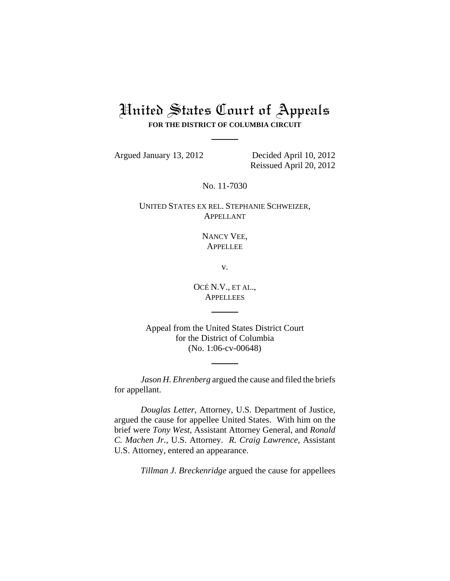## United States Court of Appeals **FOR THE DISTRICT OF COLUMBIA CIRCUIT**

Argued January 13, 2012 Decided April 10, 2012

Reissued April 20, 2012

No. 11-7030

UNITED STATES EX REL. STEPHANIE SCHWEIZER, APPELLANT

> NANCY VEE, **APPELLEE**

> > v.

OCÉ N.V., ET AL., **APPELLEES** 

Appeal from the United States District Court for the District of Columbia (No. 1:06-cv-00648)

*Jason H. Ehrenberg* argued the cause and filed the briefs for appellant.

*Douglas Letter*, Attorney, U.S. Department of Justice, argued the cause for appellee United States. With him on the brief were *Tony West*, Assistant Attorney General, and *Ronald C. Machen Jr.*, U.S. Attorney. *R. Craig Lawrence*, Assistant U.S. Attorney, entered an appearance.

*Tillman J. Breckenridge* argued the cause for appellees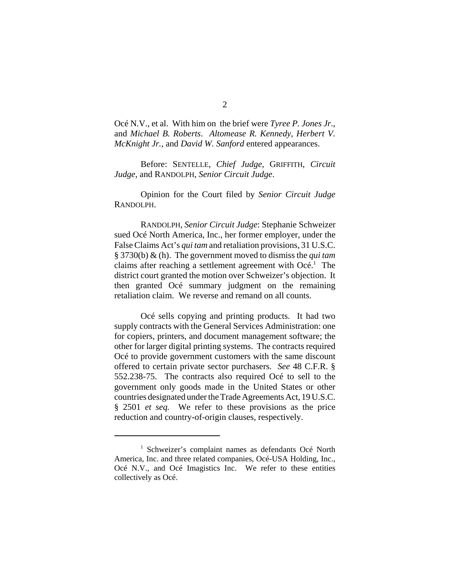Océ N.V., et al. With him on the brief were *Tyree P. Jones Jr*., and *Michael B. Roberts*. *Altomease R. Kennedy*, *Herbert V. McKnight Jr.*, and *David W. Sanford* entered appearances.

Before: SENTELLE, *Chief Judge*, GRIFFITH, *Circuit Judge*, and RANDOLPH, *Senior Circuit Judge*.

Opinion for the Court filed by *Senior Circuit Judge* RANDOLPH.

 RANDOLPH, *Senior Circuit Judge*: Stephanie Schweizer sued Océ North America, Inc., her former employer, under the False Claims Act's *qui tam* and retaliation provisions, 31 U.S.C. § 3730(b) & (h). The government moved to dismiss the *qui tam* claims after reaching a settlement agreement with  $Oc\acute{e}$ .<sup>1</sup> The district court granted the motion over Schweizer's objection. It then granted Océ summary judgment on the remaining retaliation claim. We reverse and remand on all counts.

Océ sells copying and printing products. It had two supply contracts with the General Services Administration: one for copiers, printers, and document management software; the other for larger digital printing systems. The contracts required Océ to provide government customers with the same discount offered to certain private sector purchasers. *See* 48 C.F.R. § 552.238-75. The contracts also required Océ to sell to the government only goods made in the United States or other countries designated under the Trade Agreements Act, 19 U.S.C. § 2501 *et seq.* We refer to these provisions as the price reduction and country-of-origin clauses, respectively.

<sup>&</sup>lt;sup>1</sup> Schweizer's complaint names as defendants Océ North America, Inc. and three related companies, Océ-USA Holding, Inc., Océ N.V., and Océ Imagistics Inc. We refer to these entities collectively as Océ.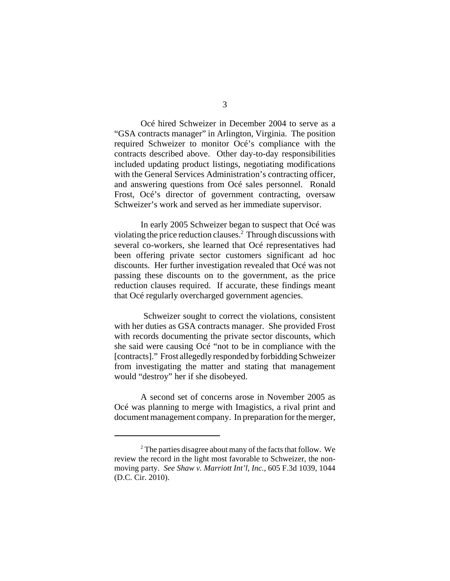Océ hired Schweizer in December 2004 to serve as a "GSA contracts manager" in Arlington, Virginia. The position required Schweizer to monitor Océ's compliance with the contracts described above. Other day-to-day responsibilities included updating product listings, negotiating modifications with the General Services Administration's contracting officer, and answering questions from Océ sales personnel. Ronald Frost, Océ's director of government contracting, oversaw Schweizer's work and served as her immediate supervisor.

In early 2005 Schweizer began to suspect that Océ was violating the price reduction clauses.<sup>2</sup> Through discussions with several co-workers, she learned that Océ representatives had been offering private sector customers significant ad hoc discounts. Her further investigation revealed that Océ was not passing these discounts on to the government, as the price reduction clauses required. If accurate, these findings meant that Océ regularly overcharged government agencies.

 Schweizer sought to correct the violations, consistent with her duties as GSA contracts manager. She provided Frost with records documenting the private sector discounts, which she said were causing Océ "not to be in compliance with the [contracts]." Frost allegedly responded by forbidding Schweizer from investigating the matter and stating that management would "destroy" her if she disobeyed.

A second set of concerns arose in November 2005 as Océ was planning to merge with Imagistics, a rival print and document management company. In preparation for the merger,

 $2^2$  The parties disagree about many of the facts that follow. We review the record in the light most favorable to Schweizer, the nonmoving party. *See Shaw v. Marriott Int'l, Inc.*, 605 F.3d 1039, 1044 (D.C. Cir. 2010).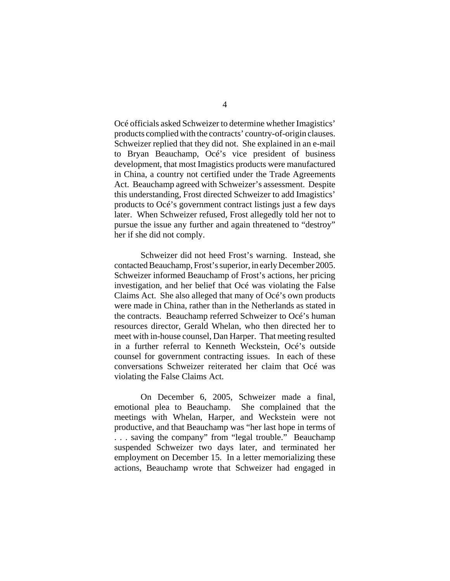Océ officials asked Schweizer to determine whether Imagistics' products complied with the contracts' country-of-origin clauses. Schweizer replied that they did not. She explained in an e-mail to Bryan Beauchamp, Océ's vice president of business development, that most Imagistics products were manufactured in China, a country not certified under the Trade Agreements Act. Beauchamp agreed with Schweizer's assessment. Despite this understanding, Frost directed Schweizer to add Imagistics' products to Océ's government contract listings just a few days later. When Schweizer refused, Frost allegedly told her not to pursue the issue any further and again threatened to "destroy" her if she did not comply.

Schweizer did not heed Frost's warning. Instead, she contacted Beauchamp, Frost's superior, in early December 2005. Schweizer informed Beauchamp of Frost's actions, her pricing investigation, and her belief that Océ was violating the False Claims Act. She also alleged that many of Océ's own products were made in China, rather than in the Netherlands as stated in the contracts. Beauchamp referred Schweizer to Océ's human resources director, Gerald Whelan, who then directed her to meet with in-house counsel, Dan Harper. That meeting resulted in a further referral to Kenneth Weckstein, Océ's outside counsel for government contracting issues. In each of these conversations Schweizer reiterated her claim that Océ was violating the False Claims Act.

On December 6, 2005, Schweizer made a final, emotional plea to Beauchamp. She complained that the meetings with Whelan, Harper, and Weckstein were not productive, and that Beauchamp was "her last hope in terms of . . . saving the company" from "legal trouble." Beauchamp suspended Schweizer two days later, and terminated her employment on December 15. In a letter memorializing these actions, Beauchamp wrote that Schweizer had engaged in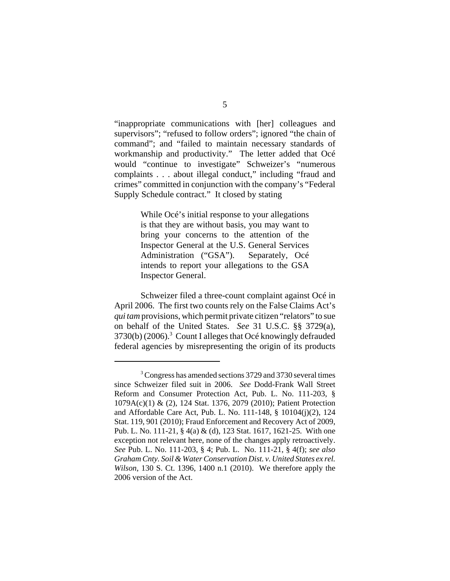"inappropriate communications with [her] colleagues and supervisors"; "refused to follow orders"; ignored "the chain of command"; and "failed to maintain necessary standards of workmanship and productivity." The letter added that Océ would "continue to investigate" Schweizer's "numerous complaints . . . about illegal conduct," including "fraud and crimes" committed in conjunction with the company's "Federal Supply Schedule contract." It closed by stating

> While Océ's initial response to your allegations is that they are without basis, you may want to bring your concerns to the attention of the Inspector General at the U.S. General Services Administration ("GSA"). Separately, Océ intends to report your allegations to the GSA Inspector General.

Schweizer filed a three-count complaint against Océ in April 2006. The first two counts rely on the False Claims Act's *qui tam* provisions, which permit private citizen "relators" to sue on behalf of the United States. *See* 31 U.S.C. §§ 3729(a), 3730(b) (2006).<sup>3</sup> Count I alleges that Océ knowingly defrauded federal agencies by misrepresenting the origin of its products

<sup>&</sup>lt;sup>3</sup> Congress has amended sections 3729 and 3730 several times since Schweizer filed suit in 2006. *See* Dodd-Frank Wall Street Reform and Consumer Protection Act, Pub. L. No. 111-203, § 1079A(c)(1) & (2), 124 Stat. 1376, 2079 (2010); Patient Protection and Affordable Care Act, Pub. L. No. 111-148, § 10104(j)(2), 124 Stat. 119, 901 (2010); Fraud Enforcement and Recovery Act of 2009, Pub. L. No. 111-21, § 4(a) & (d), 123 Stat. 1617, 1621-25. With one exception not relevant here, none of the changes apply retroactively. *See* Pub. L. No. 111-203, § 4; Pub. L. No. 111-21, § 4(f); *see also Graham Cnty. Soil & Water Conservation Dist. v. United States ex rel. Wilson*, 130 S. Ct. 1396, 1400 n.1 (2010). We therefore apply the 2006 version of the Act.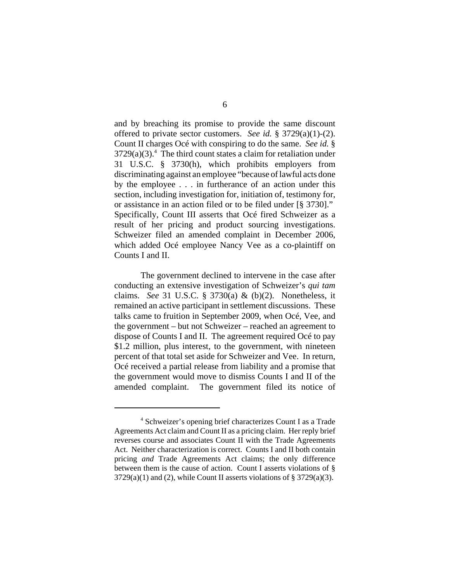and by breaching its promise to provide the same discount offered to private sector customers. *See id.* § 3729(a)(1)-(2). Count II charges Océ with conspiring to do the same. *See id.* §  $3729(a)(3)$ <sup>4</sup>. The third count states a claim for retaliation under 31 U.S.C. § 3730(h), which prohibits employers from discriminating against an employee "because of lawful acts done by the employee . . . in furtherance of an action under this section, including investigation for, initiation of, testimony for, or assistance in an action filed or to be filed under [§ 3730]." Specifically, Count III asserts that Océ fired Schweizer as a result of her pricing and product sourcing investigations. Schweizer filed an amended complaint in December 2006, which added Océ employee Nancy Vee as a co-plaintiff on Counts I and II.

The government declined to intervene in the case after conducting an extensive investigation of Schweizer's *qui tam* claims. *See* 31 U.S.C. § 3730(a) & (b)(2). Nonetheless, it remained an active participant in settlement discussions. These talks came to fruition in September 2009, when Océ, Vee, and the government – but not Schweizer – reached an agreement to dispose of Counts I and II. The agreement required Océ to pay \$1.2 million, plus interest, to the government, with nineteen percent of that total set aside for Schweizer and Vee. In return, Océ received a partial release from liability and a promise that the government would move to dismiss Counts I and II of the amended complaint. The government filed its notice of

<sup>4</sup> Schweizer's opening brief characterizes Count I as a Trade Agreements Act claim and Count II as a pricing claim. Her reply brief reverses course and associates Count II with the Trade Agreements Act. Neither characterization is correct. Counts I and II both contain pricing *and* Trade Agreements Act claims; the only difference between them is the cause of action. Count I asserts violations of §  $3729(a)(1)$  and (2), while Count II asserts violations of §  $3729(a)(3)$ .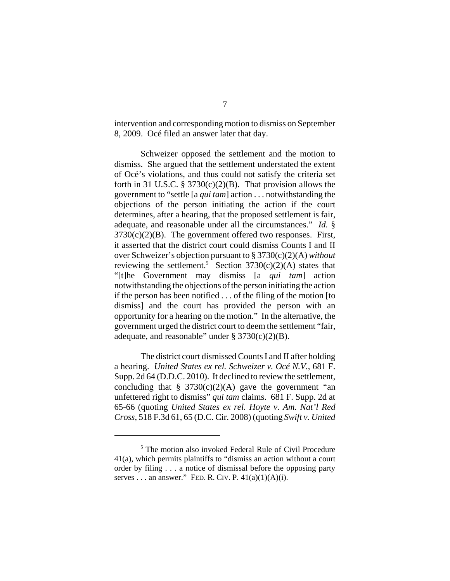intervention and corresponding motion to dismiss on September 8, 2009. Océ filed an answer later that day.

Schweizer opposed the settlement and the motion to dismiss. She argued that the settlement understated the extent of Océ's violations, and thus could not satisfy the criteria set forth in 31 U.S.C. § 3730 $(c)(2)(B)$ . That provision allows the government to "settle [a *qui tam*] action . . . notwithstanding the objections of the person initiating the action if the court determines, after a hearing, that the proposed settlement is fair, adequate, and reasonable under all the circumstances." *Id.* §  $3730(c)(2)(B)$ . The government offered two responses. First, it asserted that the district court could dismiss Counts I and II over Schweizer's objection pursuant to § 3730(c)(2)(A) *without* reviewing the settlement.<sup>5</sup> Section 3730(c)(2)(A) states that "[t]he Government may dismiss [a *qui tam*] action notwithstanding the objections of the person initiating the action if the person has been notified . . . of the filing of the motion [to dismiss] and the court has provided the person with an opportunity for a hearing on the motion." In the alternative, the government urged the district court to deem the settlement "fair, adequate, and reasonable" under  $\S 3730(c)(2)(B)$ .

The district court dismissed Counts I and II after holding a hearing. *United States ex rel. Schweizer v. Océ N.V.*, 681 F. Supp. 2d 64 (D.D.C. 2010). It declined to review the settlement, concluding that  $\S$  3730(c)(2)(A) gave the government "an unfettered right to dismiss" *qui tam* claims. 681 F. Supp. 2d at 65-66 (quoting *United States ex rel. Hoyte v. Am. Nat'l Red Cross*, 518 F.3d 61, 65 (D.C. Cir. 2008) (quoting *Swift v. United*

<sup>5</sup> The motion also invoked Federal Rule of Civil Procedure 41(a), which permits plaintiffs to "dismiss an action without a court order by filing . . . a notice of dismissal before the opposing party serves . . . an answer." FED. R. CIV. P.  $41(a)(1)(A)(i)$ .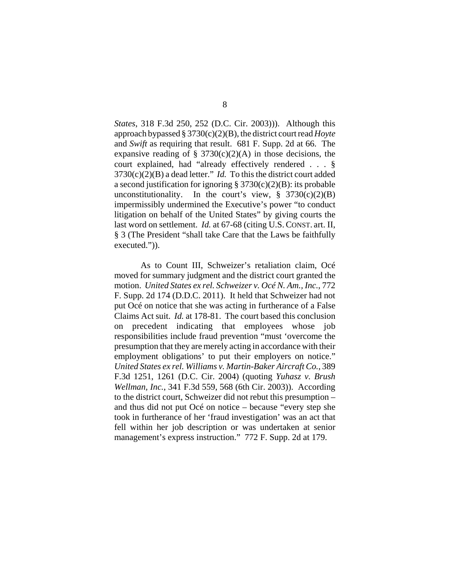*States*, 318 F.3d 250, 252 (D.C. Cir. 2003))). Although this approach bypassed § 3730(c)(2)(B), the district court read *Hoyte* and *Swift* as requiring that result. 681 F. Supp. 2d at 66. The expansive reading of  $\S$  3730(c)(2)(A) in those decisions, the court explained, had "already effectively rendered . . . §  $3730(c)(2)(B)$  a dead letter." *Id.* To this the district court added a second justification for ignoring  $\S 3730(c)(2)(B)$ : its probable unconstitutionality. In the court's view,  $\S$  3730(c)(2)(B) impermissibly undermined the Executive's power "to conduct litigation on behalf of the United States" by giving courts the last word on settlement. *Id.* at 67-68 (citing U.S. CONST. art. II, § 3 (The President "shall take Care that the Laws be faithfully executed.")).

As to Count III, Schweizer's retaliation claim, Océ moved for summary judgment and the district court granted the motion. *United States ex rel. Schweizer v. Océ N. Am., Inc.*, 772 F. Supp. 2d 174 (D.D.C. 2011). It held that Schweizer had not put Océ on notice that she was acting in furtherance of a False Claims Act suit. *Id.* at 178-81. The court based this conclusion on precedent indicating that employees whose job responsibilities include fraud prevention "must 'overcome the presumption that they are merely acting in accordance with their employment obligations' to put their employers on notice." *United States ex rel. Williams v. Martin-Baker Aircraft Co.*, 389 F.3d 1251, 1261 (D.C. Cir. 2004) (quoting *Yuhasz v. Brush Wellman, Inc.*, 341 F.3d 559, 568 (6th Cir. 2003)). According to the district court, Schweizer did not rebut this presumption – and thus did not put Océ on notice – because "every step she took in furtherance of her 'fraud investigation' was an act that fell within her job description or was undertaken at senior management's express instruction." 772 F. Supp. 2d at 179.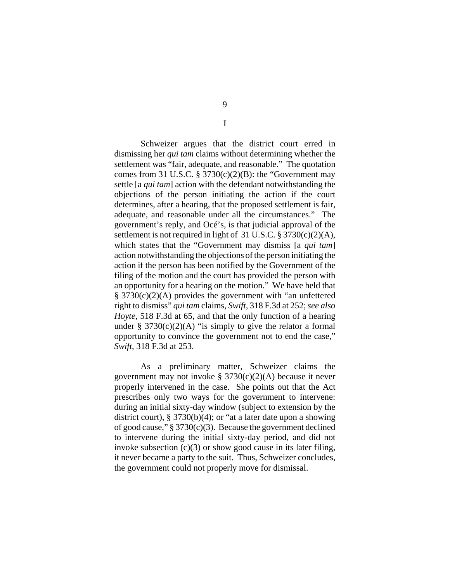Schweizer argues that the district court erred in dismissing her *qui tam* claims without determining whether the settlement was "fair, adequate, and reasonable." The quotation comes from 31 U.S.C.  $\S 3730(c)(2)(B)$ : the "Government may settle [a *qui tam*] action with the defendant notwithstanding the objections of the person initiating the action if the court determines, after a hearing, that the proposed settlement is fair, adequate, and reasonable under all the circumstances." The government's reply, and Océ's, is that judicial approval of the settlement is not required in light of 31 U.S.C.  $\S 3730(c)(2)(A)$ , which states that the "Government may dismiss [a *qui tam*] action notwithstanding the objections of the person initiating the action if the person has been notified by the Government of the filing of the motion and the court has provided the person with an opportunity for a hearing on the motion." We have held that § 3730(c)(2)(A) provides the government with "an unfettered right to dismiss" *qui tam* claims, *Swift*, 318 F.3d at 252; *see also Hoyte*, 518 F.3d at 65, and that the only function of a hearing under  $\S 3730(c)(2)(A)$  "is simply to give the relator a formal opportunity to convince the government not to end the case," *Swift*, 318 F.3d at 253.

As a preliminary matter, Schweizer claims the government may not invoke § 3730(c)(2)(A) because it never properly intervened in the case. She points out that the Act prescribes only two ways for the government to intervene: during an initial sixty-day window (subject to extension by the district court), § 3730(b)(4); or "at a later date upon a showing of good cause,"  $\S 3730(c)(3)$ . Because the government declined to intervene during the initial sixty-day period, and did not invoke subsection (c)(3) or show good cause in its later filing, it never became a party to the suit. Thus, Schweizer concludes, the government could not properly move for dismissal.

I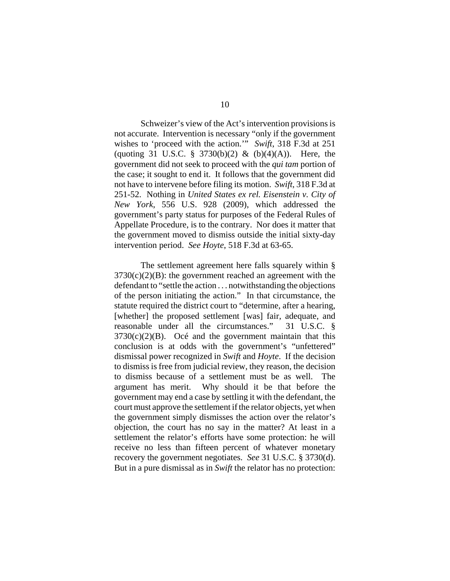Schweizer's view of the Act's intervention provisions is not accurate. Intervention is necessary "only if the government wishes to 'proceed with the action.'" *Swift*, 318 F.3d at 251 (quoting 31 U.S.C. § 3730(b)(2) & (b)(4)(A)). Here, the government did not seek to proceed with the *qui tam* portion of the case; it sought to end it. It follows that the government did not have to intervene before filing its motion. *Swift*, 318 F.3d at 251-52. Nothing in *United States ex rel. Eisenstein v. City of New York*, 556 U.S. 928 (2009), which addressed the government's party status for purposes of the Federal Rules of Appellate Procedure, is to the contrary. Nor does it matter that the government moved to dismiss outside the initial sixty-day intervention period. *See Hoyte*, 518 F.3d at 63-65.

The settlement agreement here falls squarely within §  $3730(c)(2)(B)$ : the government reached an agreement with the defendant to "settle the action . . . notwithstanding the objections of the person initiating the action." In that circumstance, the statute required the district court to "determine, after a hearing, [whether] the proposed settlement [was] fair, adequate, and reasonable under all the circumstances." 31 U.S.C. §  $3730(c)(2)(B)$ . Océ and the government maintain that this conclusion is at odds with the government's "unfettered" dismissal power recognized in *Swift* and *Hoyte*. If the decision to dismiss is free from judicial review, they reason, the decision to dismiss because of a settlement must be as well. The argument has merit. Why should it be that before the government may end a case by settling it with the defendant, the court must approve the settlement if the relator objects, yet when the government simply dismisses the action over the relator's objection, the court has no say in the matter? At least in a settlement the relator's efforts have some protection: he will receive no less than fifteen percent of whatever monetary recovery the government negotiates. *See* 31 U.S.C. § 3730(d). But in a pure dismissal as in *Swift* the relator has no protection: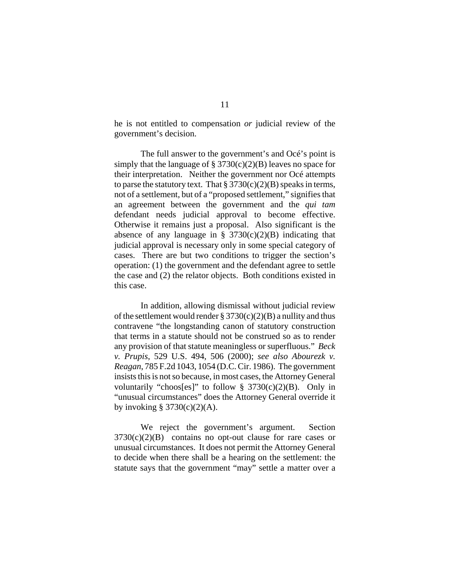he is not entitled to compensation *or* judicial review of the government's decision.

The full answer to the government's and Océ's point is simply that the language of  $\S 3730(c)(2)(B)$  leaves no space for their interpretation. Neither the government nor Océ attempts to parse the statutory text. That  $\S 3730(c)(2)(B)$  speaks in terms, not of a settlement, but of a "proposed settlement," signifies that an agreement between the government and the *qui tam* defendant needs judicial approval to become effective. Otherwise it remains just a proposal. Also significant is the absence of any language in §  $3730(c)(2)(B)$  indicating that judicial approval is necessary only in some special category of cases. There are but two conditions to trigger the section's operation: (1) the government and the defendant agree to settle the case and (2) the relator objects. Both conditions existed in this case.

In addition, allowing dismissal without judicial review of the settlement would render  $\S 3730(c)(2)(B)$  a nullity and thus contravene "the longstanding canon of statutory construction that terms in a statute should not be construed so as to render any provision of that statute meaningless or superfluous." *Beck v. Prupis*, 529 U.S. 494, 506 (2000); *see also Abourezk v. Reagan*, 785 F.2d 1043, 1054 (D.C. Cir. 1986). The government insists this is not so because, in most cases, the Attorney General voluntarily "choos[es]" to follow  $\S 3730(c)(2)(B)$ . Only in "unusual circumstances" does the Attorney General override it by invoking  $§ 3730(c)(2)(A)$ .

We reject the government's argument. Section  $3730(c)(2)(B)$  contains no opt-out clause for rare cases or unusual circumstances. It does not permit the Attorney General to decide when there shall be a hearing on the settlement: the statute says that the government "may" settle a matter over a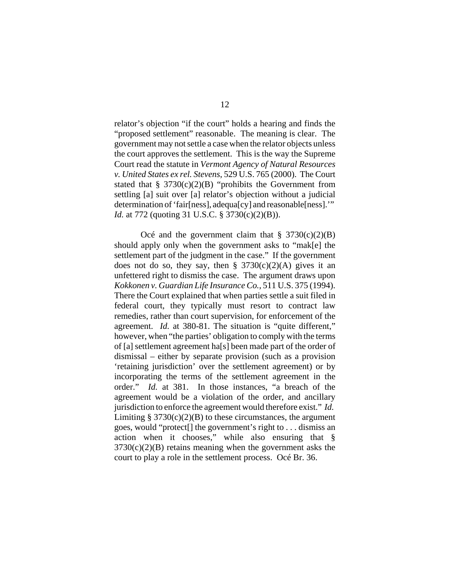relator's objection "if the court" holds a hearing and finds the "proposed settlement" reasonable. The meaning is clear. The government may not settle a case when the relator objects unless the court approves the settlement. This is the way the Supreme Court read the statute in *Vermont Agency of Natural Resources v. United States ex rel. Stevens*, 529 U.S. 765 (2000). The Court stated that  $§ 3730(c)(2)(B)$  "prohibits the Government from settling [a] suit over [a] relator's objection without a judicial determination of 'fair[ness], adequa[cy] and reasonable[ness].'" *Id.* at 772 (quoting 31 U.S.C. § 3730(c)(2)(B)).

Océ and the government claim that  $\S$  3730(c)(2)(B) should apply only when the government asks to "mak[e] the settlement part of the judgment in the case." If the government does not do so, they say, then  $\S$  3730(c)(2)(A) gives it an unfettered right to dismiss the case. The argument draws upon *Kokkonen v. Guardian Life Insurance Co.*, 511 U.S. 375 (1994). There the Court explained that when parties settle a suit filed in federal court, they typically must resort to contract law remedies, rather than court supervision, for enforcement of the agreement. *Id.* at 380-81. The situation is "quite different," however, when "the parties' obligation to comply with the terms of [a] settlement agreement ha[s] been made part of the order of dismissal – either by separate provision (such as a provision 'retaining jurisdiction' over the settlement agreement) or by incorporating the terms of the settlement agreement in the order." *Id.* at 381. In those instances, "a breach of the agreement would be a violation of the order, and ancillary jurisdiction to enforce the agreement would therefore exist." *Id.* Limiting  $\S 3730(c)(2)(B)$  to these circumstances, the argument goes, would "protect[] the government's right to . . . dismiss an action when it chooses," while also ensuring that §  $3730(c)(2)(B)$  retains meaning when the government asks the court to play a role in the settlement process. Océ Br. 36.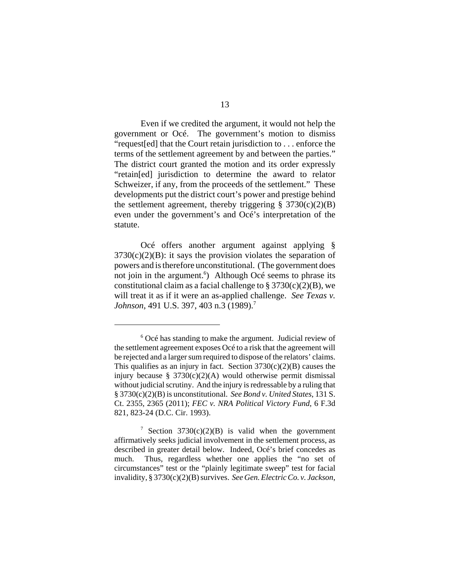Even if we credited the argument, it would not help the government or Océ. The government's motion to dismiss "request[ed] that the Court retain jurisdiction to . . . enforce the terms of the settlement agreement by and between the parties." The district court granted the motion and its order expressly "retain[ed] jurisdiction to determine the award to relator Schweizer, if any, from the proceeds of the settlement." These developments put the district court's power and prestige behind the settlement agreement, thereby triggering  $\S$  3730(c)(2)(B) even under the government's and Océ's interpretation of the statute.

Océ offers another argument against applying §  $3730(c)(2)(B)$ : it says the provision violates the separation of powers and is therefore unconstitutional. (The government does not join in the argument.<sup>6</sup>) Although Océ seems to phrase its constitutional claim as a facial challenge to  $\S 3730(c)(2)(B)$ , we will treat it as if it were an as-applied challenge. *See Texas v. Johnson*, 491 U.S. 397, 403 n.3 (1989).<sup>7</sup>

<sup>&</sup>lt;sup>6</sup> Océ has standing to make the argument. Judicial review of the settlement agreement exposes Océ to a risk that the agreement will be rejected and a larger sum required to dispose of the relators' claims. This qualifies as an injury in fact. Section  $3730(c)(2)(B)$  causes the injury because §  $3730(c)(2)(A)$  would otherwise permit dismissal without judicial scrutiny. And the injury is redressable by a ruling that § 3730(c)(2)(B) is unconstitutional. *See Bond v. United States*, 131 S. Ct. 2355, 2365 (2011); *FEC v. NRA Political Victory Fund*, 6 F.3d 821, 823-24 (D.C. Cir. 1993).

<sup>&</sup>lt;sup>7</sup> Section 3730(c)(2)(B) is valid when the government affirmatively seeks judicial involvement in the settlement process, as described in greater detail below. Indeed, Océ's brief concedes as much. Thus, regardless whether one applies the "no set of circumstances" test or the "plainly legitimate sweep" test for facial invalidity, § 3730(c)(2)(B) survives. *See Gen. Electric Co. v. Jackson*,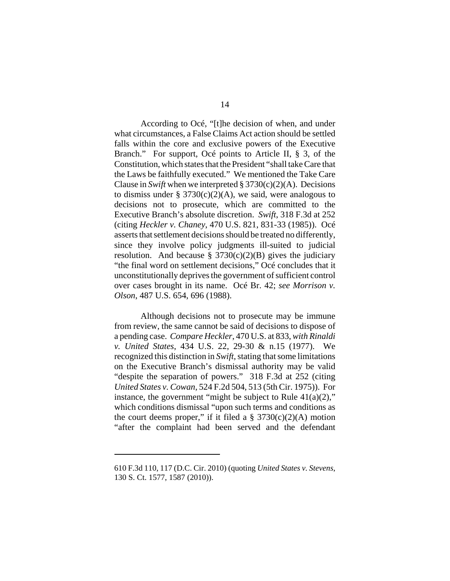According to Océ, "[t]he decision of when, and under what circumstances, a False Claims Act action should be settled falls within the core and exclusive powers of the Executive Branch." For support, Océ points to Article II, § 3, of the Constitution, which states that the President "shall take Care that the Laws be faithfully executed." We mentioned the Take Care Clause in *Swift* when we interpreted  $\S 3730(c)(2)$ (A). Decisions to dismiss under § 3730(c)(2)(A), we said, were analogous to decisions not to prosecute, which are committed to the Executive Branch's absolute discretion. *Swift*, 318 F.3d at 252 (citing *Heckler v. Chaney*, 470 U.S. 821, 831-33 (1985)). Océ asserts that settlement decisions should be treated no differently, since they involve policy judgments ill-suited to judicial resolution. And because  $\S 3730(c)(2)(B)$  gives the judiciary "the final word on settlement decisions," Océ concludes that it unconstitutionally deprives the government of sufficient control over cases brought in its name. Océ Br. 42; *see Morrison v. Olson*, 487 U.S. 654, 696 (1988).

Although decisions not to prosecute may be immune from review, the same cannot be said of decisions to dispose of a pending case. *Compare Heckler*, 470 U.S. at 833, *with Rinaldi v. United States*, 434 U.S. 22, 29-30 & n.15 (1977). We recognized this distinction in *Swift*, stating that some limitations on the Executive Branch's dismissal authority may be valid "despite the separation of powers." 318 F.3d at 252 (citing *United States v. Cowan*, 524 F.2d 504, 513 (5th Cir. 1975)). For instance, the government "might be subject to Rule  $41(a)(2)$ ," which conditions dismissal "upon such terms and conditions as the court deems proper," if it filed a  $\S$  3730(c)(2)(A) motion "after the complaint had been served and the defendant

<sup>610</sup> F.3d 110, 117 (D.C. Cir. 2010) (quoting *United States v. Stevens*, 130 S. Ct. 1577, 1587 (2010)).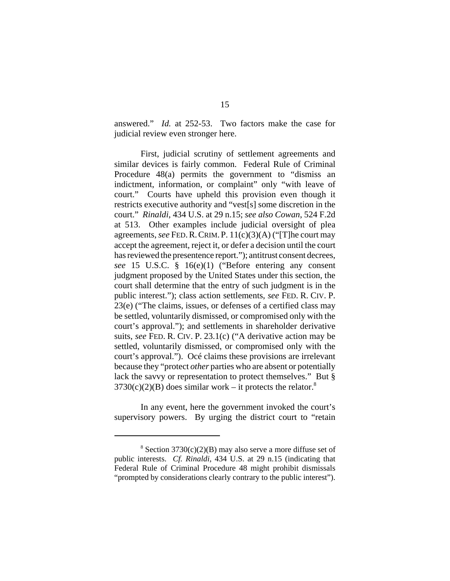answered." *Id.* at 252-53. Two factors make the case for judicial review even stronger here.

First, judicial scrutiny of settlement agreements and similar devices is fairly common. Federal Rule of Criminal Procedure 48(a) permits the government to "dismiss an indictment, information, or complaint" only "with leave of court." Courts have upheld this provision even though it restricts executive authority and "vest[s] some discretion in the court." *Rinaldi*, 434 U.S. at 29 n.15; *see also Cowan*, 524 F.2d at 513. Other examples include judicial oversight of plea agreements, *see* FED.R.CRIM.P. 11(c)(3)(A) ("[T]he court may accept the agreement, reject it, or defer a decision until the court has reviewed the presentence report."); antitrust consent decrees, *see* 15 U.S.C. § 16(e)(1) ("Before entering any consent judgment proposed by the United States under this section, the court shall determine that the entry of such judgment is in the public interest."); class action settlements, *see* FED. R. CIV. P. 23(e) ("The claims, issues, or defenses of a certified class may be settled, voluntarily dismissed, or compromised only with the court's approval."); and settlements in shareholder derivative suits, *see* FED. R. CIV. P. 23.1(c) ("A derivative action may be settled, voluntarily dismissed, or compromised only with the court's approval."). Océ claims these provisions are irrelevant because they "protect *other* parties who are absent or potentially lack the savvy or representation to protect themselves." But §  $3730(c)(2)(B)$  does similar work – it protects the relator.<sup>8</sup>

In any event, here the government invoked the court's supervisory powers. By urging the district court to "retain

 $8$  Section 3730(c)(2)(B) may also serve a more diffuse set of public interests. *Cf. Rinaldi*, 434 U.S. at 29 n.15 (indicating that Federal Rule of Criminal Procedure 48 might prohibit dismissals "prompted by considerations clearly contrary to the public interest").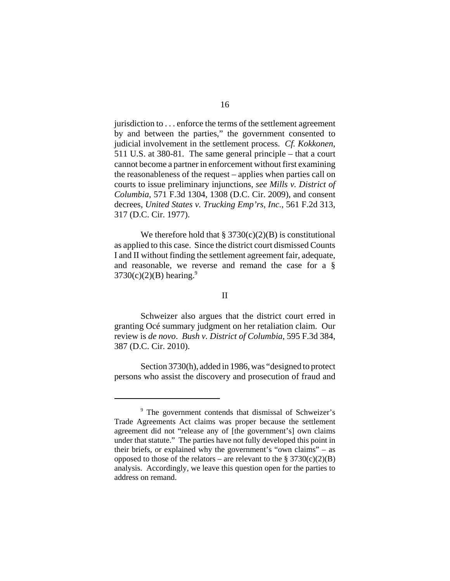jurisdiction to . . . enforce the terms of the settlement agreement by and between the parties," the government consented to judicial involvement in the settlement process. *Cf. Kokkonen*, 511 U.S. at 380-81. The same general principle – that a court cannot become a partner in enforcement without first examining the reasonableness of the request – applies when parties call on courts to issue preliminary injunctions, *see Mills v. District of Columbia*, 571 F.3d 1304, 1308 (D.C. Cir. 2009), and consent decrees, *United States v. Trucking Emp'rs, Inc.*, 561 F.2d 313, 317 (D.C. Cir. 1977).

We therefore hold that  $\S 3730(c)(2)(B)$  is constitutional as applied to this case. Since the district court dismissed Counts I and II without finding the settlement agreement fair, adequate, and reasonable, we reverse and remand the case for a §  $3730(c)(2)(B)$  hearing.<sup>9</sup>

## II

Schweizer also argues that the district court erred in granting Océ summary judgment on her retaliation claim. Our review is *de novo*. *Bush v. District of Columbia*, 595 F.3d 384, 387 (D.C. Cir. 2010).

Section 3730(h), added in 1986, was "designed to protect persons who assist the discovery and prosecution of fraud and

<sup>&</sup>lt;sup>9</sup> The government contends that dismissal of Schweizer's Trade Agreements Act claims was proper because the settlement agreement did not "release any of [the government's] own claims under that statute." The parties have not fully developed this point in their briefs, or explained why the government's "own claims" – as opposed to those of the relators – are relevant to the  $\S 3730(c)(2)(B)$ analysis. Accordingly, we leave this question open for the parties to address on remand.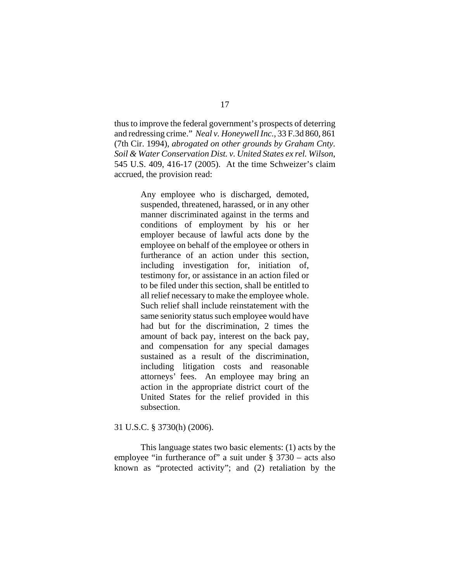thus to improve the federal government's prospects of deterring and redressing crime." *Neal v. Honeywell Inc.*, 33 F.3d 860, 861 (7th Cir. 1994), *abrogated on other grounds by Graham Cnty. Soil & Water Conservation Dist. v. United States ex rel. Wilson*, 545 U.S. 409, 416-17 (2005). At the time Schweizer's claim accrued, the provision read:

> Any employee who is discharged, demoted, suspended, threatened, harassed, or in any other manner discriminated against in the terms and conditions of employment by his or her employer because of lawful acts done by the employee on behalf of the employee or others in furtherance of an action under this section, including investigation for, initiation of, testimony for, or assistance in an action filed or to be filed under this section, shall be entitled to all relief necessary to make the employee whole. Such relief shall include reinstatement with the same seniority status such employee would have had but for the discrimination, 2 times the amount of back pay, interest on the back pay, and compensation for any special damages sustained as a result of the discrimination, including litigation costs and reasonable attorneys' fees. An employee may bring an action in the appropriate district court of the United States for the relief provided in this subsection.

31 U.S.C. § 3730(h) (2006).

This language states two basic elements: (1) acts by the employee "in furtherance of" a suit under  $\S 3730 - \text{acts also}$ known as "protected activity"; and (2) retaliation by the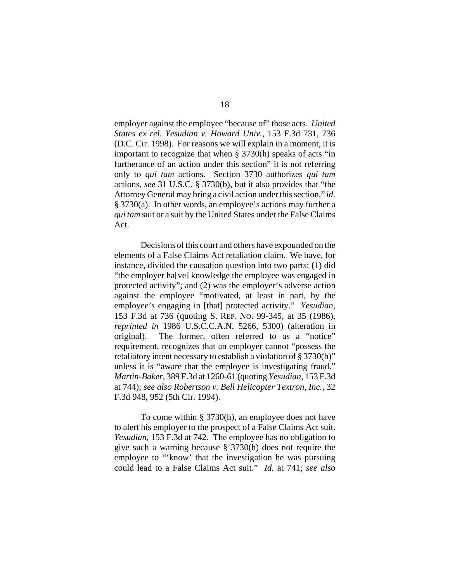employer against the employee "because of" those acts. *United States ex rel. Yesudian v. Howard Univ.*, 153 F.3d 731, 736 (D.C. Cir. 1998). For reasons we will explain in a moment, it is important to recognize that when § 3730(h) speaks of acts "in furtherance of an action under this section" it is not referring only to *qui tam* actions. Section 3730 authorizes *qui tam* actions, *see* 31 U.S.C. § 3730(b), but it also provides that "the Attorney General may bring a civil action under this section," *id.* § 3730(a). In other words, an employee's actions may further a *qui tam* suit or a suit by the United States under the False Claims Act.

Decisions of this court and others have expounded on the elements of a False Claims Act retaliation claim. We have, for instance, divided the causation question into two parts: (1) did "the employer ha[ve] knowledge the employee was engaged in protected activity"; and (2) was the employer's adverse action against the employee "motivated, at least in part, by the employee's engaging in [that] protected activity." *Yesudian*, 153 F.3d at 736 (quoting S. REP. NO. 99-345, at 35 (1986), *reprinted in* 1986 U.S.C.C.A.N. 5266, 5300) (alteration in original). The former, often referred to as a "notice" requirement, recognizes that an employer cannot "possess the retaliatory intent necessary to establish a violation of § 3730(h)" unless it is "aware that the employee is investigating fraud." *Martin-Baker*, 389 F.3d at 1260-61 (quoting *Yesudian*, 153 F.3d at 744); *see also Robertson v. Bell Helicopter Textron, Inc.*, 32 F.3d 948, 952 (5th Cir. 1994).

To come within § 3730(h), an employee does not have to alert his employer to the prospect of a False Claims Act suit. *Yesudian*, 153 F.3d at 742. The employee has no obligation to give such a warning because § 3730(h) does not require the employee to "'know' that the investigation he was pursuing could lead to a False Claims Act suit." *Id.* at 741; *see also*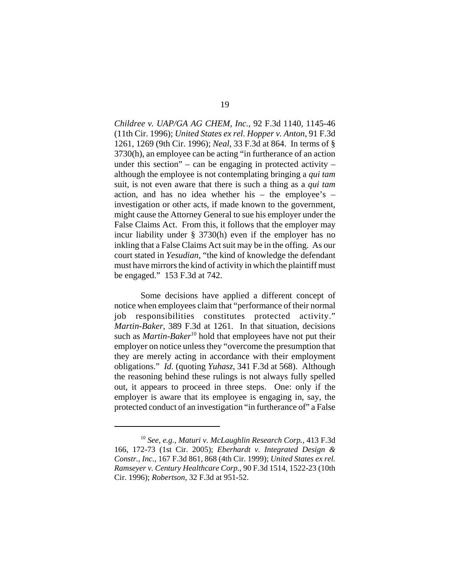*Childree v. UAP/GA AG CHEM, Inc.*, 92 F.3d 1140, 1145-46 (11th Cir. 1996); *United States ex rel. Hopper v. Anton*, 91 F.3d 1261, 1269 (9th Cir. 1996); *Neal*, 33 F.3d at 864. In terms of § 3730(h), an employee can be acting "in furtherance of an action under this section" – can be engaging in protected activity – although the employee is not contemplating bringing a *qui tam* suit, is not even aware that there is such a thing as a *qui tam* action, and has no idea whether his – the employee's – investigation or other acts, if made known to the government, might cause the Attorney General to sue his employer under the False Claims Act. From this, it follows that the employer may incur liability under § 3730(h) even if the employer has no inkling that a False Claims Act suit may be in the offing. As our court stated in *Yesudian*, "the kind of knowledge the defendant must have mirrors the kind of activity in which the plaintiff must be engaged." 153 F.3d at 742.

Some decisions have applied a different concept of notice when employees claim that "performance of their normal job responsibilities constitutes protected activity." *Martin-Baker*, 389 F.3d at 1261. In that situation, decisions such as *Martin-Baker*<sup>10</sup> hold that employees have not put their employer on notice unless they "overcome the presumption that they are merely acting in accordance with their employment obligations." *Id.* (quoting *Yuhasz*, 341 F.3d at 568). Although the reasoning behind these rulings is not always fully spelled out, it appears to proceed in three steps. One: only if the employer is aware that its employee is engaging in, say, the protected conduct of an investigation "in furtherance of" a False

<sup>10</sup> *See, e.g.*, *Maturi v. McLaughlin Research Corp.*, 413 F.3d 166, 172-73 (1st Cir. 2005); *Eberhardt v. Integrated Design & Constr., Inc.*, 167 F.3d 861, 868 (4th Cir. 1999); *United States ex rel. Ramseyer v. Century Healthcare Corp.*, 90 F.3d 1514, 1522-23 (10th Cir. 1996); *Robertson*, 32 F.3d at 951-52.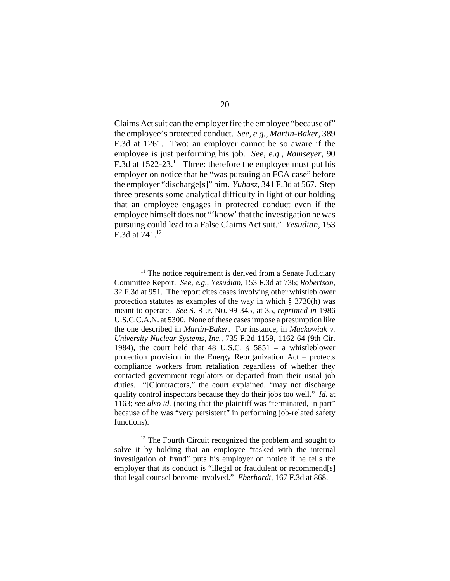Claims Act suit can the employer fire the employee "because of" the employee's protected conduct. *See, e.g.*, *Martin-Baker*, 389 F.3d at 1261. Two: an employer cannot be so aware if the employee is just performing his job. *See, e.g.*, *Ramseyer*, 90 F.3d at 1522-23.<sup>11</sup> Three: therefore the employee must put his employer on notice that he "was pursuing an FCA case" before the employer "discharge[s]" him. *Yuhasz*, 341 F.3d at 567. Step three presents some analytical difficulty in light of our holding that an employee engages in protected conduct even if the employee himself does not "'know' that the investigation he was pursuing could lead to a False Claims Act suit." *Yesudian*, 153 F.3d at  $741^{12}$ 

 $11$  The notice requirement is derived from a Senate Judiciary Committee Report. *See, e.g.*, *Yesudian*, 153 F.3d at 736; *Robertson*, 32 F.3d at 951. The report cites cases involving other whistleblower protection statutes as examples of the way in which § 3730(h) was meant to operate. *See* S. REP. NO. 99-345, at 35, *reprinted in* 1986 U.S.C.C.A.N. at 5300. None of these cases impose a presumption like the one described in *Martin-Baker*. For instance, in *Mackowiak v. University Nuclear Systems, Inc.*, 735 F.2d 1159, 1162-64 (9th Cir. 1984), the court held that 48 U.S.C.  $\S$  5851 – a whistleblower protection provision in the Energy Reorganization Act – protects compliance workers from retaliation regardless of whether they contacted government regulators or departed from their usual job duties. "[C]ontractors," the court explained, "may not discharge quality control inspectors because they do their jobs too well." *Id.* at 1163; *see also id.* (noting that the plaintiff was "terminated, in part" because of he was "very persistent" in performing job-related safety functions).

<sup>&</sup>lt;sup>12</sup> The Fourth Circuit recognized the problem and sought to solve it by holding that an employee "tasked with the internal investigation of fraud" puts his employer on notice if he tells the employer that its conduct is "illegal or fraudulent or recommend[s] that legal counsel become involved." *Eberhardt*, 167 F.3d at 868.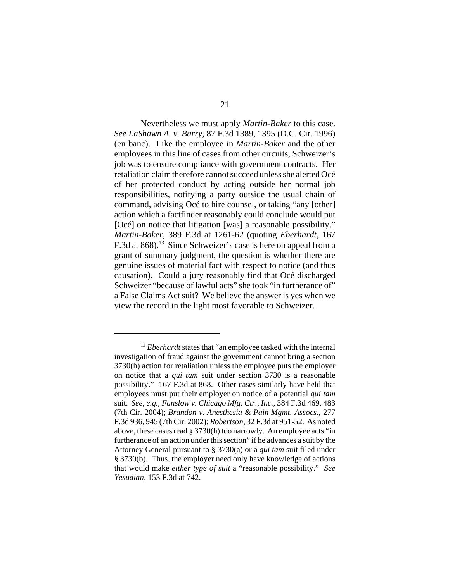Nevertheless we must apply *Martin-Baker* to this case. *See LaShawn A. v. Barry*, 87 F.3d 1389, 1395 (D.C. Cir. 1996) (en banc). Like the employee in *Martin-Baker* and the other employees in this line of cases from other circuits, Schweizer's job was to ensure compliance with government contracts. Her retaliation claim therefore cannot succeed unless she alerted Océ of her protected conduct by acting outside her normal job responsibilities, notifying a party outside the usual chain of command, advising Océ to hire counsel, or taking "any [other] action which a factfinder reasonably could conclude would put [Océ] on notice that litigation [was] a reasonable possibility." *Martin-Baker*, 389 F.3d at 1261-62 (quoting *Eberhardt*, 167 F.3d at 868).<sup>13</sup> Since Schweizer's case is here on appeal from a grant of summary judgment, the question is whether there are genuine issues of material fact with respect to notice (and thus causation). Could a jury reasonably find that Océ discharged Schweizer "because of lawful acts" she took "in furtherance of" a False Claims Act suit? We believe the answer is yes when we view the record in the light most favorable to Schweizer.

<sup>&</sup>lt;sup>13</sup> *Eberhardt* states that "an employee tasked with the internal investigation of fraud against the government cannot bring a section 3730(h) action for retaliation unless the employee puts the employer on notice that a *qui tam* suit under section 3730 is a reasonable possibility." 167 F.3d at 868. Other cases similarly have held that employees must put their employer on notice of a potential *qui tam* suit. *See, e.g.*, *Fanslow v. Chicago Mfg. Ctr., Inc.*, 384 F.3d 469, 483 (7th Cir. 2004); *Brandon v. Anesthesia & Pain Mgmt. Assocs.*, 277 F.3d 936, 945 (7th Cir. 2002); *Robertson*, 32 F.3d at 951-52. As noted above, these cases read § 3730(h) too narrowly. An employee acts "in furtherance of an action under this section" if he advances a suit by the Attorney General pursuant to § 3730(a) or a *qui tam* suit filed under § 3730(b). Thus, the employer need only have knowledge of actions that would make *either type of suit* a "reasonable possibility." *See Yesudian*, 153 F.3d at 742.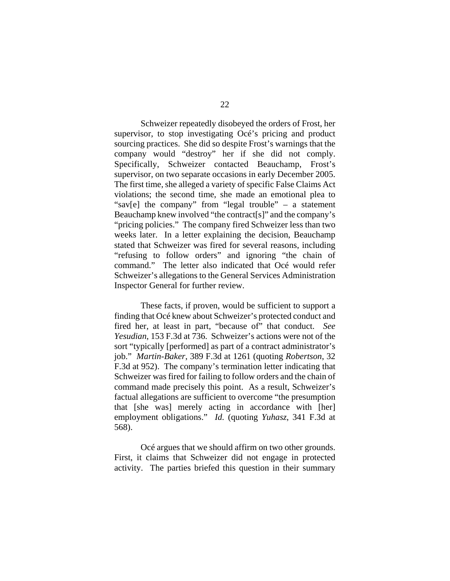Schweizer repeatedly disobeyed the orders of Frost, her supervisor, to stop investigating Océ's pricing and product sourcing practices. She did so despite Frost's warnings that the company would "destroy" her if she did not comply. Specifically, Schweizer contacted Beauchamp, Frost's supervisor, on two separate occasions in early December 2005. The first time, she alleged a variety of specific False Claims Act violations; the second time, she made an emotional plea to "sav[e] the company" from "legal trouble" – a statement Beauchamp knew involved "the contract[s]" and the company's "pricing policies." The company fired Schweizer less than two weeks later. In a letter explaining the decision, Beauchamp stated that Schweizer was fired for several reasons, including "refusing to follow orders" and ignoring "the chain of command." The letter also indicated that Océ would refer Schweizer's allegations to the General Services Administration Inspector General for further review.

These facts, if proven, would be sufficient to support a finding that Océ knew about Schweizer's protected conduct and fired her, at least in part, "because of" that conduct. *See Yesudian*, 153 F.3d at 736. Schweizer's actions were not of the sort "typically [performed] as part of a contract administrator's job." *Martin-Baker*, 389 F.3d at 1261 (quoting *Robertson*, 32 F.3d at 952). The company's termination letter indicating that Schweizer was fired for failing to follow orders and the chain of command made precisely this point. As a result, Schweizer's factual allegations are sufficient to overcome "the presumption that [she was] merely acting in accordance with [her] employment obligations." *Id.* (quoting *Yuhasz*, 341 F.3d at 568).

Océ argues that we should affirm on two other grounds. First, it claims that Schweizer did not engage in protected activity. The parties briefed this question in their summary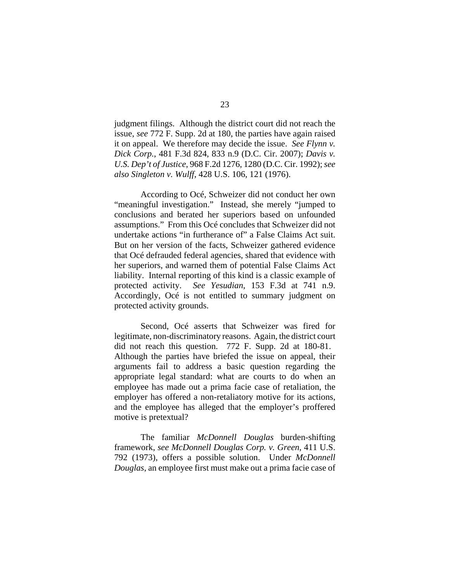judgment filings. Although the district court did not reach the issue, *see* 772 F. Supp. 2d at 180, the parties have again raised it on appeal. We therefore may decide the issue. *See Flynn v. Dick Corp.*, 481 F.3d 824, 833 n.9 (D.C. Cir. 2007); *Davis v. U.S. Dep't of Justice*, 968 F.2d 1276, 1280 (D.C. Cir. 1992); *see also Singleton v. Wulff*, 428 U.S. 106, 121 (1976).

According to Océ, Schweizer did not conduct her own "meaningful investigation." Instead, she merely "jumped to conclusions and berated her superiors based on unfounded assumptions." From this Océ concludes that Schweizer did not undertake actions "in furtherance of" a False Claims Act suit. But on her version of the facts, Schweizer gathered evidence that Océ defrauded federal agencies, shared that evidence with her superiors, and warned them of potential False Claims Act liability. Internal reporting of this kind is a classic example of protected activity. *See Yesudian*, 153 F.3d at 741 n.9. Accordingly, Océ is not entitled to summary judgment on protected activity grounds.

Second, Océ asserts that Schweizer was fired for legitimate, non-discriminatory reasons. Again, the district court did not reach this question. 772 F. Supp. 2d at 180-81. Although the parties have briefed the issue on appeal, their arguments fail to address a basic question regarding the appropriate legal standard: what are courts to do when an employee has made out a prima facie case of retaliation, the employer has offered a non-retaliatory motive for its actions, and the employee has alleged that the employer's proffered motive is pretextual?

The familiar *McDonnell Douglas* burden-shifting framework, *see McDonnell Douglas Corp. v. Green*, 411 U.S. 792 (1973), offers a possible solution. Under *McDonnell Douglas*, an employee first must make out a prima facie case of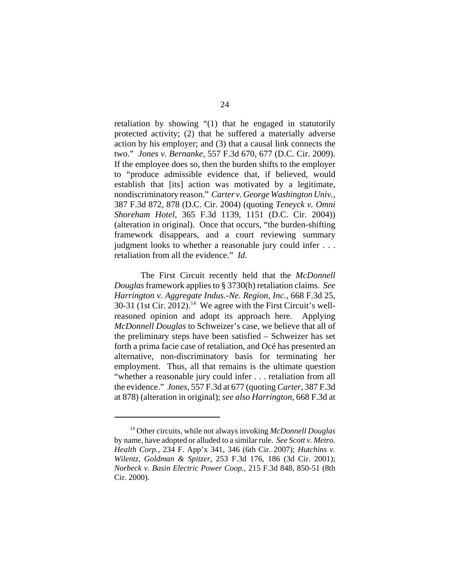retaliation by showing "(1) that he engaged in statutorily protected activity; (2) that he suffered a materially adverse action by his employer; and (3) that a causal link connects the two." *Jones v. Bernanke*, 557 F.3d 670, 677 (D.C. Cir. 2009). If the employee does so, then the burden shifts to the employer to "produce admissible evidence that, if believed, would establish that [its] action was motivated by a legitimate, nondiscriminatory reason." *Carter v. George Washington Univ.*, 387 F.3d 872, 878 (D.C. Cir. 2004) (quoting *Teneyck v. Omni Shoreham Hotel*, 365 F.3d 1139, 1151 (D.C. Cir. 2004)) (alteration in original). Once that occurs, "the burden-shifting framework disappears, and a court reviewing summary judgment looks to whether a reasonable jury could infer . . . retaliation from all the evidence." *Id.*

The First Circuit recently held that the *McDonnell Douglas* framework applies to § 3730(h) retaliation claims. *See Harrington v. Aggregate Indus.-Ne. Region, Inc.*, 668 F.3d 25, 30-31 (1st Cir. 2012).<sup>14</sup> We agree with the First Circuit's wellreasoned opinion and adopt its approach here. Applying *McDonnell Douglas* to Schweizer's case, we believe that all of the preliminary steps have been satisfied – Schweizer has set forth a prima facie case of retaliation, and Océ has presented an alternative, non-discriminatory basis for terminating her employment. Thus, all that remains is the ultimate question "whether a reasonable jury could infer . . . retaliation from all the evidence." *Jones*, 557 F.3d at 677 (quoting *Carter*, 387 F.3d at 878) (alteration in original); *see also Harrington*, 668 F.3d at

<sup>14</sup> Other circuits, while not always invoking *McDonnell Douglas* by name, have adopted or alluded to a similar rule. *See Scott v. Metro. Health Corp.*, 234 F. App'x 341, 346 (6th Cir. 2007); *Hutchins v. Wilentz, Goldman & Spitzer*, 253 F.3d 176, 186 (3d Cir. 2001); *Norbeck v. Basin Electric Power Coop.*, 215 F.3d 848, 850-51 (8th Cir. 2000).